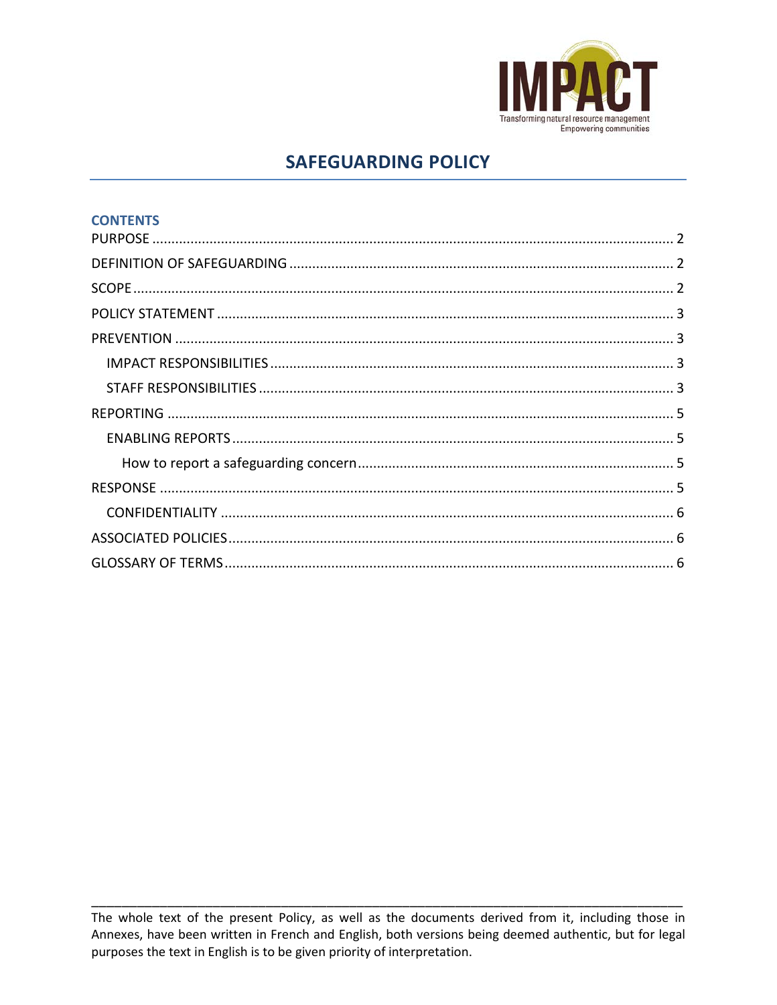

# **SAFEGUARDING POLICY**

| <b>CONTENTS</b> |  |
|-----------------|--|
|                 |  |
|                 |  |
|                 |  |
|                 |  |
|                 |  |
|                 |  |
|                 |  |
|                 |  |
|                 |  |
|                 |  |
|                 |  |
|                 |  |
|                 |  |
|                 |  |

The whole text of the present Policy, as well as the documents derived from it, including those in Annexes, have been written in French and English, both versions being deemed authentic, but for legal purposes the text in English is to be given priority of interpretation.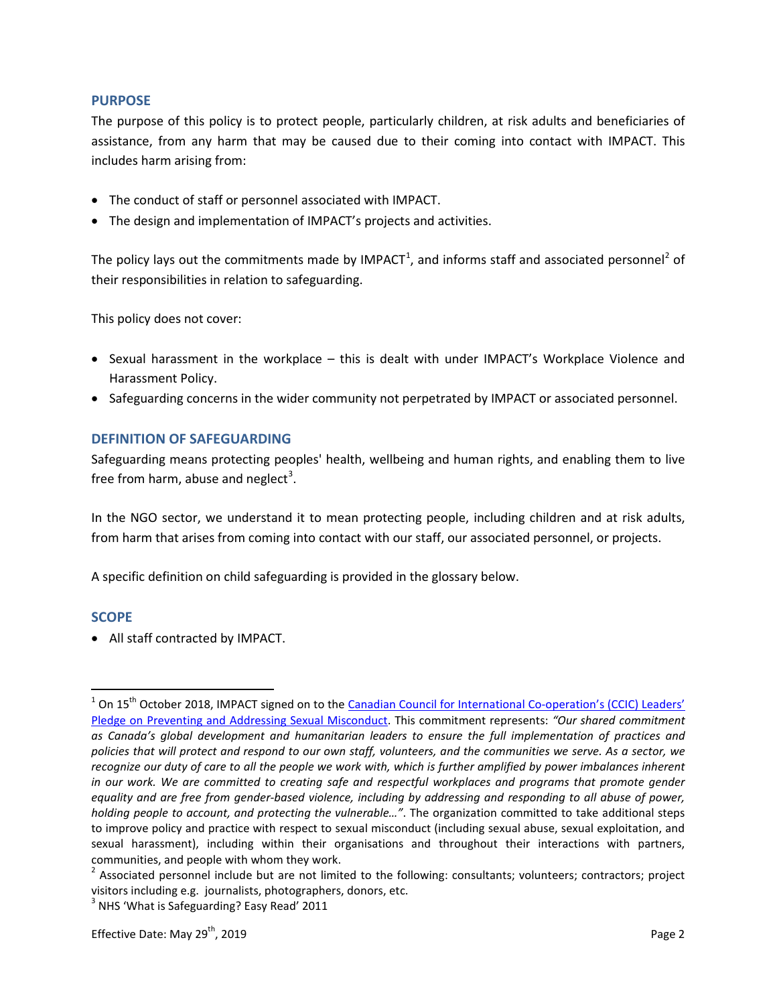# <span id="page-1-0"></span>**PURPOSE**

The purpose of this policy is to protect people, particularly children, at risk adults and beneficiaries of assistance, from any harm that may be caused due to their coming into contact with IMPACT. This includes harm arising from:

- The conduct of staff or personnel associated with IMPACT.
- The design and implementation of IMPACT's projects and activities.

The policy lays out the commitments made by IMPACT<sup>[1](#page-1-3)</sup>, and informs staff and associated personnel<sup>[2](#page-1-4)</sup> of their responsibilities in relation to safeguarding.

This policy does not cover:

- Sexual harassment in the workplace this is dealt with under IMPACT's Workplace Violence and Harassment Policy.
- Safeguarding concerns in the wider community not perpetrated by IMPACT or associated personnel.

# <span id="page-1-1"></span>**DEFINITION OF SAFEGUARDING**

Safeguarding means protecting peoples' health, wellbeing and human rights, and enabling them to live free from harm, abuse and neglect<sup>[3](#page-1-5)</sup>.

In the NGO sector, we understand it to mean protecting people, including children and at risk adults, from harm that arises from coming into contact with our staff, our associated personnel, or projects.

A specific definition on child safeguarding is provided in the glossary below.

# <span id="page-1-2"></span>**SCOPE**

• All staff contracted by IMPACT.

<span id="page-1-3"></span><sup>&</sup>lt;sup>1</sup> On 15<sup>th</sup> October 2018, IMPACT signed on to the *Canadian Council for International Co-operation's (CCIC) Leaders'* [Pledge on Preventing and Addressing Sexual Misconduct.](file://server/data/Policies%20and%20Procedures/Policies/FINAL/Final%20EN/CCIC%20Leaders%20Pledge%20-%20Official.pdf) This commitment represents: *"Our shared commitment as Canada's global development and humanitarian leaders to ensure the full implementation of practices and policies that will protect and respond to our own staff, volunteers, and the communities we serve. As a sector, we recognize our duty of care to all the people we work with, which is further amplified by power imbalances inherent in our work. We are committed to creating safe and respectful workplaces and programs that promote gender equality and are free from gender-based violence, including by addressing and responding to all abuse of power, holding people to account, and protecting the vulnerable…"*. The organization committed to take additional steps to improve policy and practice with respect to sexual misconduct (including sexual abuse, sexual exploitation, and sexual harassment), including within their organisations and throughout their interactions with partners, communities, and people with whom they work.

<span id="page-1-4"></span> $2$  Associated personnel include but are not limited to the following: consultants; volunteers; contractors; project visitors including e.g. journalists, photographers, donors, etc.

<span id="page-1-5"></span><sup>&</sup>lt;sup>3</sup> NHS 'What is Safeguarding? Easy Read' 2011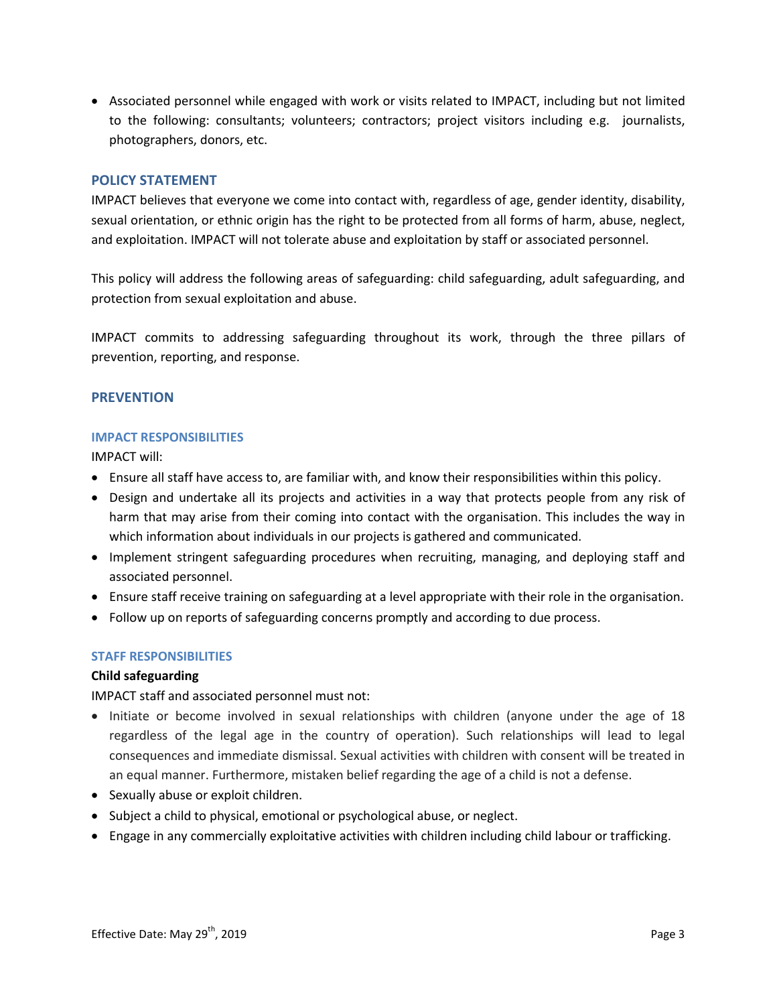• Associated personnel while engaged with work or visits related to IMPACT, including but not limited to the following: consultants; volunteers; contractors; project visitors including e.g. journalists, photographers, donors, etc.

# <span id="page-2-0"></span>**POLICY STATEMENT**

IMPACT believes that everyone we come into contact with, regardless of age, gender identity, disability, sexual orientation, or ethnic origin has the right to be protected from all forms of harm, abuse, neglect, and exploitation. IMPACT will not tolerate abuse and exploitation by staff or associated personnel.

This policy will address the following areas of safeguarding: child safeguarding, adult safeguarding, and protection from sexual exploitation and abuse.

IMPACT commits to addressing safeguarding throughout its work, through the three pillars of prevention, reporting, and response.

# <span id="page-2-1"></span>**PREVENTION**

### <span id="page-2-2"></span>**IMPACT RESPONSIBILITIES**

IMPACT will:

- Ensure all staff have access to, are familiar with, and know their responsibilities within this policy.
- Design and undertake all its projects and activities in a way that protects people from any risk of harm that may arise from their coming into contact with the organisation. This includes the way in which information about individuals in our projects is gathered and communicated.
- Implement stringent safeguarding procedures when recruiting, managing, and deploying staff and associated personnel.
- Ensure staff receive training on safeguarding at a level appropriate with their role in the organisation.
- Follow up on reports of safeguarding concerns promptly and according to due process.

# <span id="page-2-3"></span>**STAFF RESPONSIBILITIES**

# **Child safeguarding**

IMPACT staff and associated personnel must not:

- Initiate or become involved in sexual relationships with children (anyone under the age of 18 regardless of the legal age in the country of operation). Such relationships will lead to legal consequences and immediate dismissal. Sexual activities with children with consent will be treated in an equal manner. Furthermore, mistaken belief regarding the age of a child is not a defense.
- Sexually abuse or exploit children.
- Subject a child to physical, emotional or psychological abuse, or neglect.
- Engage in any commercially exploitative activities with children including child labour or trafficking.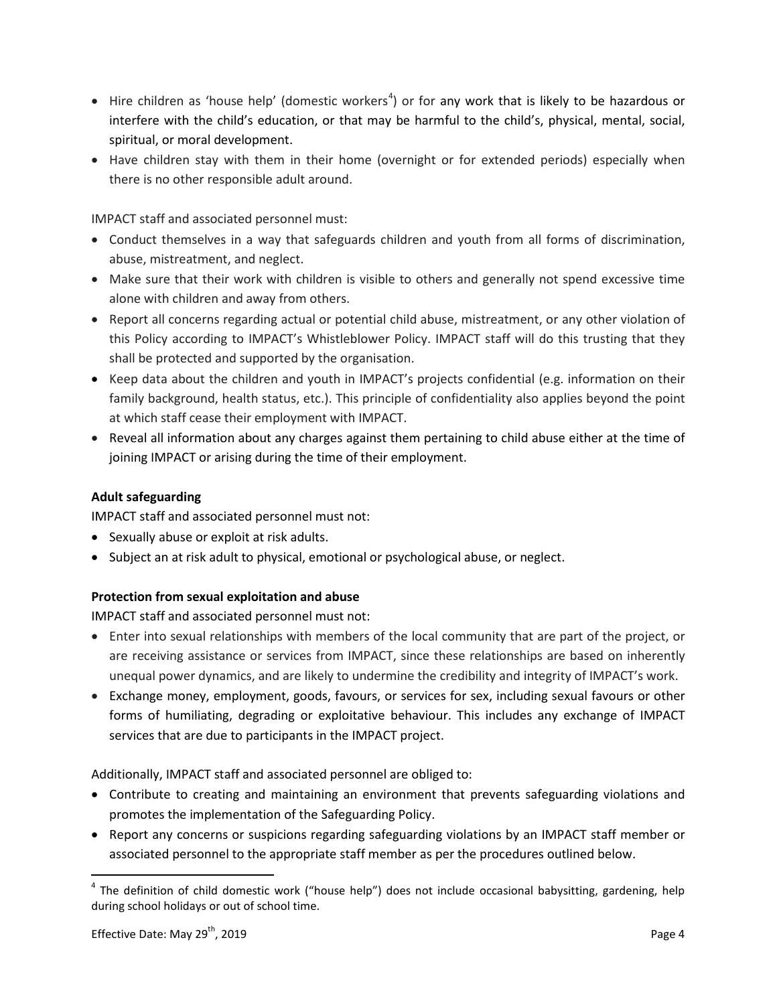- $\bullet$  Hire children as 'house help' (domestic workers<sup>[4](#page-3-0)</sup>) or for any work that is likely to be hazardous or interfere with the child's education, or that may be harmful to the child's, physical, mental, social, spiritual, or moral development.
- Have children stay with them in their home (overnight or for extended periods) especially when there is no other responsible adult around.

IMPACT staff and associated personnel must:

- Conduct themselves in a way that safeguards children and youth from all forms of discrimination, abuse, mistreatment, and neglect.
- Make sure that their work with children is visible to others and generally not spend excessive time alone with children and away from others.
- Report all concerns regarding actual or potential child abuse, mistreatment, or any other violation of this Policy according to IMPACT's Whistleblower Policy. IMPACT staff will do this trusting that they shall be protected and supported by the organisation.
- Keep data about the children and youth in IMPACT's projects confidential (e.g. information on their family background, health status, etc.). This principle of confidentiality also applies beyond the point at which staff cease their employment with IMPACT.
- Reveal all information about any charges against them pertaining to child abuse either at the time of joining IMPACT or arising during the time of their employment.

# **Adult safeguarding**

IMPACT staff and associated personnel must not:

- Sexually abuse or exploit at risk adults.
- Subject an at risk adult to physical, emotional or psychological abuse, or neglect.

# **Protection from sexual exploitation and abuse**

IMPACT staff and associated personnel must not:

- Enter into sexual relationships with members of the local community that are part of the project, or are receiving assistance or services from IMPACT, since these relationships are based on inherently unequal power dynamics, and are likely to undermine the credibility and integrity of IMPACT's work.
- Exchange money, employment, goods, favours, or services for sex, including sexual favours or other forms of humiliating, degrading or exploitative behaviour. This includes any exchange of IMPACT services that are due to participants in the IMPACT project.

Additionally, IMPACT staff and associated personnel are obliged to:

- Contribute to creating and maintaining an environment that prevents safeguarding violations and promotes the implementation of the Safeguarding Policy.
- Report any concerns or suspicions regarding safeguarding violations by an IMPACT staff member or associated personnel to the appropriate staff member as per the procedures outlined below.

<span id="page-3-0"></span> $4$  The definition of child domestic work ("house help") does not include occasional babysitting, gardening, help during school holidays or out of school time.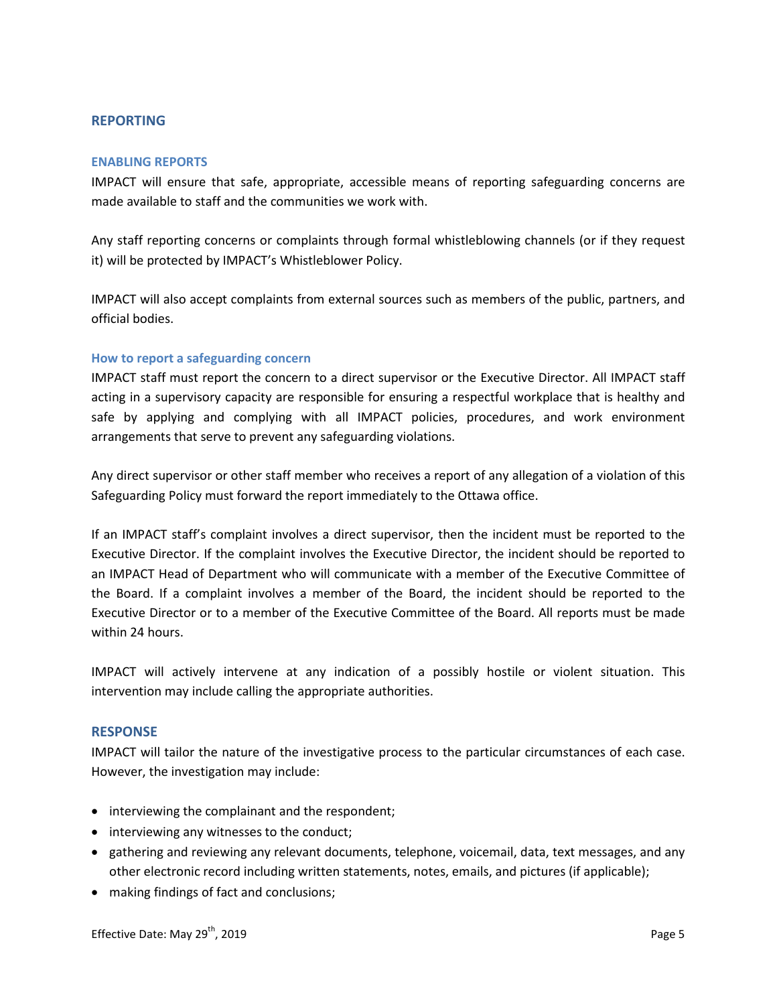# <span id="page-4-0"></span>**REPORTING**

#### <span id="page-4-1"></span>**ENABLING REPORTS**

IMPACT will ensure that safe, appropriate, accessible means of reporting safeguarding concerns are made available to staff and the communities we work with.

Any staff reporting concerns or complaints through formal whistleblowing channels (or if they request it) will be protected by IMPACT's Whistleblower Policy.

IMPACT will also accept complaints from external sources such as members of the public, partners, and official bodies.

#### <span id="page-4-2"></span>**How to report a safeguarding concern**

IMPACT staff must report the concern to a direct supervisor or the Executive Director. All IMPACT staff acting in a supervisory capacity are responsible for ensuring a respectful workplace that is healthy and safe by applying and complying with all IMPACT policies, procedures, and work environment arrangements that serve to prevent any safeguarding violations.

Any direct supervisor or other staff member who receives a report of any allegation of a violation of this Safeguarding Policy must forward the report immediately to the Ottawa office.

If an IMPACT staff's complaint involves a direct supervisor, then the incident must be reported to the Executive Director. If the complaint involves the Executive Director, the incident should be reported to an IMPACT Head of Department who will communicate with a member of the Executive Committee of the Board. If a complaint involves a member of the Board, the incident should be reported to the Executive Director or to a member of the Executive Committee of the Board. All reports must be made within 24 hours.

IMPACT will actively intervene at any indication of a possibly hostile or violent situation. This intervention may include calling the appropriate authorities.

### <span id="page-4-3"></span>**RESPONSE**

IMPACT will tailor the nature of the investigative process to the particular circumstances of each case. However, the investigation may include:

- interviewing the complainant and the respondent;
- interviewing any witnesses to the conduct;
- gathering and reviewing any relevant documents, telephone, voicemail, data, text messages, and any other electronic record including written statements, notes, emails, and pictures (if applicable);
- making findings of fact and conclusions;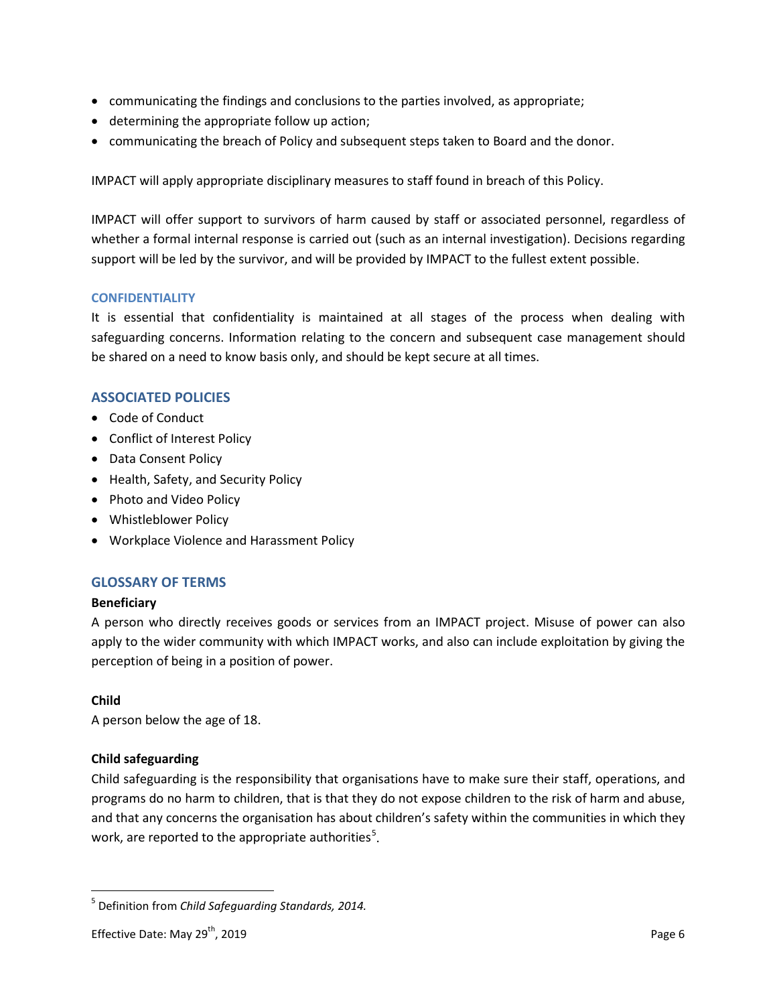- communicating the findings and conclusions to the parties involved, as appropriate;
- determining the appropriate follow up action;
- communicating the breach of Policy and subsequent steps taken to Board and the donor.

IMPACT will apply appropriate disciplinary measures to staff found in breach of this Policy.

IMPACT will offer support to survivors of harm caused by staff or associated personnel, regardless of whether a formal internal response is carried out (such as an internal investigation). Decisions regarding support will be led by the survivor, and will be provided by IMPACT to the fullest extent possible.

### <span id="page-5-0"></span>**CONFIDENTIALITY**

It is essential that confidentiality is maintained at all stages of the process when dealing with safeguarding concerns. Information relating to the concern and subsequent case management should be shared on a need to know basis only, and should be kept secure at all times.

# <span id="page-5-1"></span>**ASSOCIATED POLICIES**

- Code of Conduct
- Conflict of Interest Policy
- Data Consent Policy
- Health, Safety, and Security Policy
- Photo and Video Policy
- Whistleblower Policy
- Workplace Violence and Harassment Policy

# <span id="page-5-2"></span>**GLOSSARY OF TERMS**

# **Beneficiary**

A person who directly receives goods or services from an IMPACT project. Misuse of power can also apply to the wider community with which IMPACT works, and also can include exploitation by giving the perception of being in a position of power.

# **Child**

A person below the age of 18.

# **Child safeguarding**

Child safeguarding is the responsibility that organisations have to make sure their staff, operations, and programs do no harm to children, that is that they do not expose children to the risk of harm and abuse, and that any concerns the organisation has about children's safety within the communities in which they work, are reported to the appropriate authorities<sup>[5](#page-5-3)</sup>.

<span id="page-5-3"></span> <sup>5</sup> Definition from *Child Safeguarding Standards, 2014.*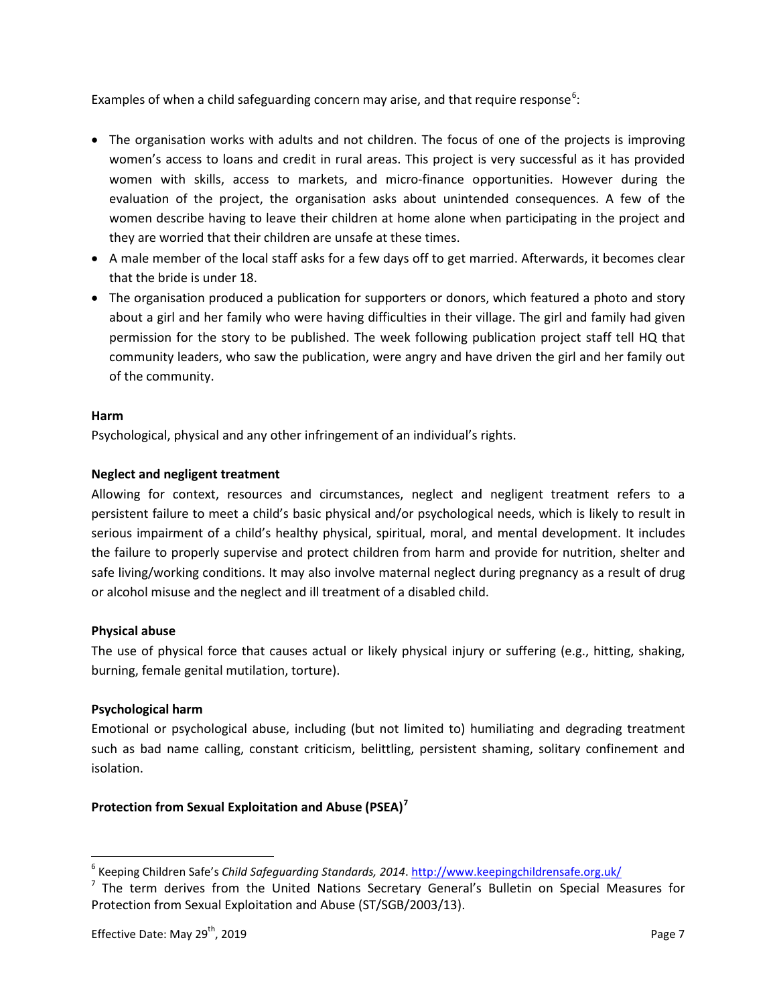Examples of when a child safeguarding concern may arise, and that require response<sup>[6](#page-6-0)</sup>:

- The organisation works with adults and not children. The focus of one of the projects is improving women's access to loans and credit in rural areas. This project is very successful as it has provided women with skills, access to markets, and micro-finance opportunities. However during the evaluation of the project, the organisation asks about unintended consequences. A few of the women describe having to leave their children at home alone when participating in the project and they are worried that their children are unsafe at these times.
- A male member of the local staff asks for a few days off to get married. Afterwards, it becomes clear that the bride is under 18.
- The organisation produced a publication for supporters or donors, which featured a photo and story about a girl and her family who were having difficulties in their village. The girl and family had given permission for the story to be published. The week following publication project staff tell HQ that community leaders, who saw the publication, were angry and have driven the girl and her family out of the community.

# **Harm**

Psychological, physical and any other infringement of an individual's rights.

# **Neglect and negligent treatment**

Allowing for context, resources and circumstances, neglect and negligent treatment refers to a persistent failure to meet a child's basic physical and/or psychological needs, which is likely to result in serious impairment of a child's healthy physical, spiritual, moral, and mental development. It includes the failure to properly supervise and protect children from harm and provide for nutrition, shelter and safe living/working conditions. It may also involve maternal neglect during pregnancy as a result of drug or alcohol misuse and the neglect and ill treatment of a disabled child.

# **Physical abuse**

The use of physical force that causes actual or likely physical injury or suffering (e.g., hitting, shaking, burning, female genital mutilation, torture).

# **Psychological harm**

Emotional or psychological abuse, including (but not limited to) humiliating and degrading treatment such as bad name calling, constant criticism, belittling, persistent shaming, solitary confinement and isolation.

# **Protection from Sexual Exploitation and Abuse (PSEA)[7](#page-6-1)**

<span id="page-6-0"></span> <sup>6</sup> Keeping Children Safe's *Child Safeguarding Standards, 2014*[. http://www.keepingchildrensafe.org.uk/](http://www.keepingchildrensafe.org.uk/)

<span id="page-6-1"></span> $<sup>7</sup>$  The term derives from the United Nations Secretary General's Bulletin on Special Measures for</sup> Protection from Sexual Exploitation and Abuse (ST/SGB/2003/13).